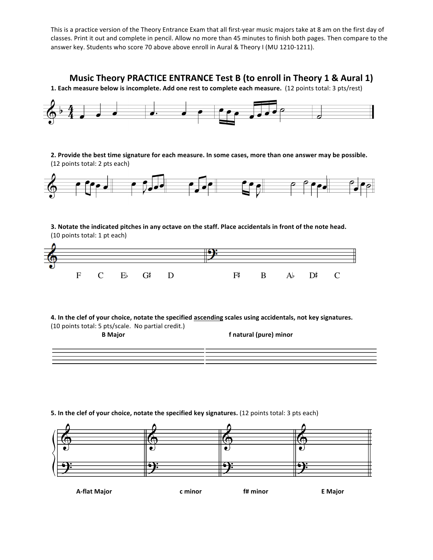This is a practice version of the Theory Entrance Exam that all first-year music majors take at 8 am on the first day of classes. Print it out and complete in pencil. Allow no more than 45 minutes to finish both pages. Then compare to the answer key. Students who score 70 above above enroll in Aural & Theory I (MU 1210-1211).

## **Music Theory PRACTICE ENTRANCE Test B (to enroll in Theory 1 & Aural 1)**

1. Each measure below is incomplete. Add one rest to complete each measure. (12 points total: 3 pts/rest)



## **5.** In the clef of your choice, notate the specified key signatures. (12 points total: 3 pts each)